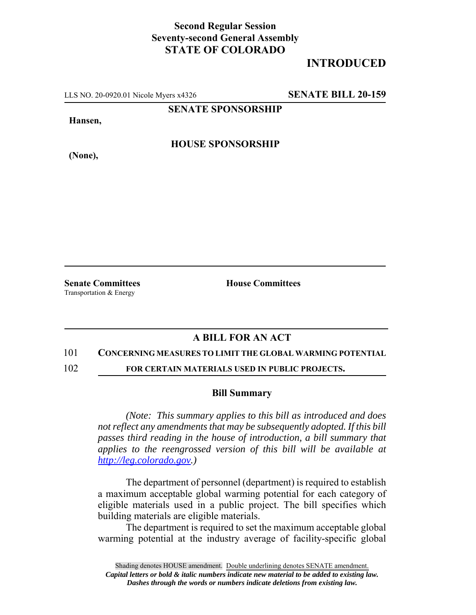## **Second Regular Session Seventy-second General Assembly STATE OF COLORADO**

# **INTRODUCED**

LLS NO. 20-0920.01 Nicole Myers x4326 **SENATE BILL 20-159**

**SENATE SPONSORSHIP**

**Hansen,**

**HOUSE SPONSORSHIP**

**(None),**

Transportation & Energy

**Senate Committees House Committees** 

### **A BILL FOR AN ACT**

#### 101 **CONCERNING MEASURES TO LIMIT THE GLOBAL WARMING POTENTIAL**

102 **FOR CERTAIN MATERIALS USED IN PUBLIC PROJECTS.**

#### **Bill Summary**

*(Note: This summary applies to this bill as introduced and does not reflect any amendments that may be subsequently adopted. If this bill passes third reading in the house of introduction, a bill summary that applies to the reengrossed version of this bill will be available at http://leg.colorado.gov.)*

The department of personnel (department) is required to establish a maximum acceptable global warming potential for each category of eligible materials used in a public project. The bill specifies which building materials are eligible materials.

The department is required to set the maximum acceptable global warming potential at the industry average of facility-specific global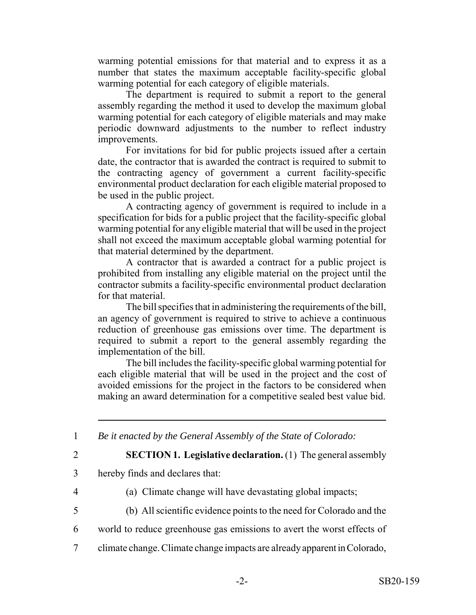warming potential emissions for that material and to express it as a number that states the maximum acceptable facility-specific global warming potential for each category of eligible materials.

The department is required to submit a report to the general assembly regarding the method it used to develop the maximum global warming potential for each category of eligible materials and may make periodic downward adjustments to the number to reflect industry improvements.

For invitations for bid for public projects issued after a certain date, the contractor that is awarded the contract is required to submit to the contracting agency of government a current facility-specific environmental product declaration for each eligible material proposed to be used in the public project.

A contracting agency of government is required to include in a specification for bids for a public project that the facility-specific global warming potential for any eligible material that will be used in the project shall not exceed the maximum acceptable global warming potential for that material determined by the department.

A contractor that is awarded a contract for a public project is prohibited from installing any eligible material on the project until the contractor submits a facility-specific environmental product declaration for that material.

The bill specifies that in administering the requirements of the bill, an agency of government is required to strive to achieve a continuous reduction of greenhouse gas emissions over time. The department is required to submit a report to the general assembly regarding the implementation of the bill.

The bill includes the facility-specific global warming potential for each eligible material that will be used in the project and the cost of avoided emissions for the project in the factors to be considered when making an award determination for a competitive sealed best value bid.

1 *Be it enacted by the General Assembly of the State of Colorado:*

2 **SECTION 1. Legislative declaration.** (1) The general assembly

- 3 hereby finds and declares that:
- 4 (a) Climate change will have devastating global impacts;
- 5 (b) All scientific evidence points to the need for Colorado and the
- 6 world to reduce greenhouse gas emissions to avert the worst effects of
- 7 climate change. Climate change impacts are already apparent in Colorado,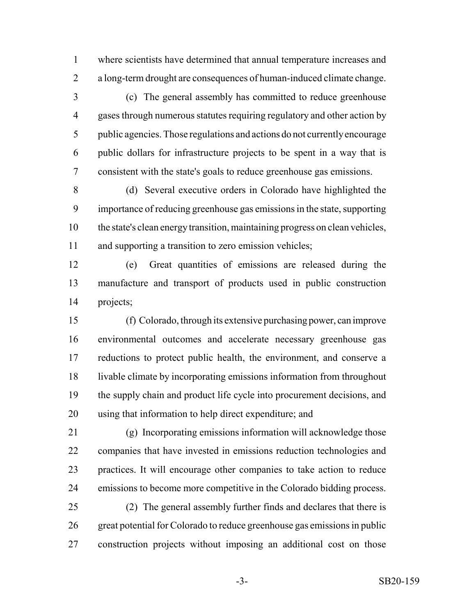where scientists have determined that annual temperature increases and a long-term drought are consequences of human-induced climate change.

 (c) The general assembly has committed to reduce greenhouse gases through numerous statutes requiring regulatory and other action by public agencies. Those regulations and actions do not currently encourage public dollars for infrastructure projects to be spent in a way that is consistent with the state's goals to reduce greenhouse gas emissions.

 (d) Several executive orders in Colorado have highlighted the importance of reducing greenhouse gas emissions in the state, supporting the state's clean energy transition, maintaining progress on clean vehicles, and supporting a transition to zero emission vehicles;

 (e) Great quantities of emissions are released during the manufacture and transport of products used in public construction projects;

 (f) Colorado, through its extensive purchasing power, can improve environmental outcomes and accelerate necessary greenhouse gas reductions to protect public health, the environment, and conserve a livable climate by incorporating emissions information from throughout 19 the supply chain and product life cycle into procurement decisions, and using that information to help direct expenditure; and

 (g) Incorporating emissions information will acknowledge those companies that have invested in emissions reduction technologies and practices. It will encourage other companies to take action to reduce emissions to become more competitive in the Colorado bidding process.

 (2) The general assembly further finds and declares that there is great potential for Colorado to reduce greenhouse gas emissions in public construction projects without imposing an additional cost on those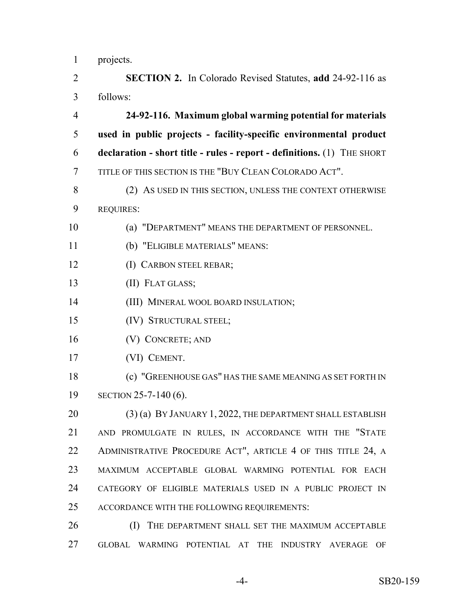projects.

 **SECTION 2.** In Colorado Revised Statutes, **add** 24-92-116 as follows:

 **24-92-116. Maximum global warming potential for materials used in public projects - facility-specific environmental product declaration - short title - rules - report - definitions.** (1) THE SHORT TITLE OF THIS SECTION IS THE "BUY CLEAN COLORADO ACT".

8 (2) AS USED IN THIS SECTION, UNLESS THE CONTEXT OTHERWISE REQUIRES:

(a) "DEPARTMENT" MEANS THE DEPARTMENT OF PERSONNEL.

- (b) "ELIGIBLE MATERIALS" MEANS:
- (I) CARBON STEEL REBAR;
- (II) FLAT GLASS;
- (III) MINERAL WOOL BOARD INSULATION;
- (IV) STRUCTURAL STEEL;
- (V) CONCRETE; AND
- (VI) CEMENT.
- (c) "GREENHOUSE GAS" HAS THE SAME MEANING AS SET FORTH IN SECTION 25-7-140 (6).

20 (3) (a) BY JANUARY 1, 2022, THE DEPARTMENT SHALL ESTABLISH AND PROMULGATE IN RULES, IN ACCORDANCE WITH THE "STATE 22 ADMINISTRATIVE PROCEDURE ACT", ARTICLE 4 OF THIS TITLE 24, A MAXIMUM ACCEPTABLE GLOBAL WARMING POTENTIAL FOR EACH CATEGORY OF ELIGIBLE MATERIALS USED IN A PUBLIC PROJECT IN ACCORDANCE WITH THE FOLLOWING REQUIREMENTS:

**(I)** THE DEPARTMENT SHALL SET THE MAXIMUM ACCEPTABLE GLOBAL WARMING POTENTIAL AT THE INDUSTRY AVERAGE OF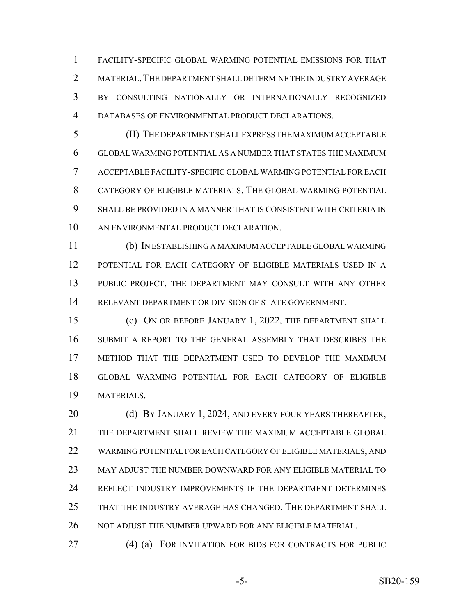FACILITY-SPECIFIC GLOBAL WARMING POTENTIAL EMISSIONS FOR THAT 2 MATERIAL. THE DEPARTMENT SHALL DETERMINE THE INDUSTRY AVERAGE BY CONSULTING NATIONALLY OR INTERNATIONALLY RECOGNIZED DATABASES OF ENVIRONMENTAL PRODUCT DECLARATIONS.

 (II) THE DEPARTMENT SHALL EXPRESS THE MAXIMUM ACCEPTABLE GLOBAL WARMING POTENTIAL AS A NUMBER THAT STATES THE MAXIMUM ACCEPTABLE FACILITY-SPECIFIC GLOBAL WARMING POTENTIAL FOR EACH CATEGORY OF ELIGIBLE MATERIALS. THE GLOBAL WARMING POTENTIAL SHALL BE PROVIDED IN A MANNER THAT IS CONSISTENT WITH CRITERIA IN AN ENVIRONMENTAL PRODUCT DECLARATION.

 (b) IN ESTABLISHING A MAXIMUM ACCEPTABLE GLOBAL WARMING POTENTIAL FOR EACH CATEGORY OF ELIGIBLE MATERIALS USED IN A PUBLIC PROJECT, THE DEPARTMENT MAY CONSULT WITH ANY OTHER RELEVANT DEPARTMENT OR DIVISION OF STATE GOVERNMENT.

 (c) ON OR BEFORE JANUARY 1, 2022, THE DEPARTMENT SHALL SUBMIT A REPORT TO THE GENERAL ASSEMBLY THAT DESCRIBES THE METHOD THAT THE DEPARTMENT USED TO DEVELOP THE MAXIMUM GLOBAL WARMING POTENTIAL FOR EACH CATEGORY OF ELIGIBLE MATERIALS.

**(d) BY JANUARY 1, 2024, AND EVERY FOUR YEARS THEREAFTER,**  THE DEPARTMENT SHALL REVIEW THE MAXIMUM ACCEPTABLE GLOBAL WARMING POTENTIAL FOR EACH CATEGORY OF ELIGIBLE MATERIALS, AND MAY ADJUST THE NUMBER DOWNWARD FOR ANY ELIGIBLE MATERIAL TO REFLECT INDUSTRY IMPROVEMENTS IF THE DEPARTMENT DETERMINES THAT THE INDUSTRY AVERAGE HAS CHANGED. THE DEPARTMENT SHALL NOT ADJUST THE NUMBER UPWARD FOR ANY ELIGIBLE MATERIAL.

(4) (a) FOR INVITATION FOR BIDS FOR CONTRACTS FOR PUBLIC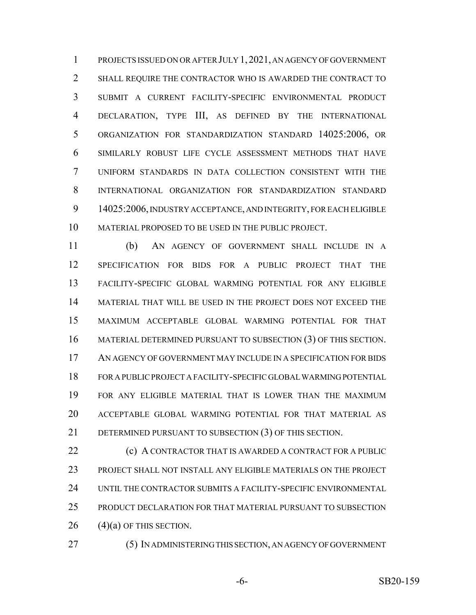PROJECTS ISSUED ON OR AFTER JULY 1,2021, AN AGENCY OF GOVERNMENT SHALL REQUIRE THE CONTRACTOR WHO IS AWARDED THE CONTRACT TO SUBMIT A CURRENT FACILITY-SPECIFIC ENVIRONMENTAL PRODUCT DECLARATION, TYPE III, AS DEFINED BY THE INTERNATIONAL ORGANIZATION FOR STANDARDIZATION STANDARD 14025:2006, OR SIMILARLY ROBUST LIFE CYCLE ASSESSMENT METHODS THAT HAVE UNIFORM STANDARDS IN DATA COLLECTION CONSISTENT WITH THE INTERNATIONAL ORGANIZATION FOR STANDARDIZATION STANDARD 14025:2006, INDUSTRY ACCEPTANCE, AND INTEGRITY, FOR EACH ELIGIBLE MATERIAL PROPOSED TO BE USED IN THE PUBLIC PROJECT.

 (b) AN AGENCY OF GOVERNMENT SHALL INCLUDE IN A SPECIFICATION FOR BIDS FOR A PUBLIC PROJECT THAT THE FACILITY-SPECIFIC GLOBAL WARMING POTENTIAL FOR ANY ELIGIBLE MATERIAL THAT WILL BE USED IN THE PROJECT DOES NOT EXCEED THE MAXIMUM ACCEPTABLE GLOBAL WARMING POTENTIAL FOR THAT MATERIAL DETERMINED PURSUANT TO SUBSECTION (3) OF THIS SECTION. AN AGENCY OF GOVERNMENT MAY INCLUDE IN A SPECIFICATION FOR BIDS FOR A PUBLIC PROJECT A FACILITY-SPECIFIC GLOBAL WARMING POTENTIAL FOR ANY ELIGIBLE MATERIAL THAT IS LOWER THAN THE MAXIMUM ACCEPTABLE GLOBAL WARMING POTENTIAL FOR THAT MATERIAL AS 21 DETERMINED PURSUANT TO SUBSECTION (3) OF THIS SECTION.

**(c) A CONTRACTOR THAT IS AWARDED A CONTRACT FOR A PUBLIC**  PROJECT SHALL NOT INSTALL ANY ELIGIBLE MATERIALS ON THE PROJECT UNTIL THE CONTRACTOR SUBMITS A FACILITY-SPECIFIC ENVIRONMENTAL PRODUCT DECLARATION FOR THAT MATERIAL PURSUANT TO SUBSECTION (4)(a) OF THIS SECTION.

(5) IN ADMINISTERING THIS SECTION, AN AGENCY OF GOVERNMENT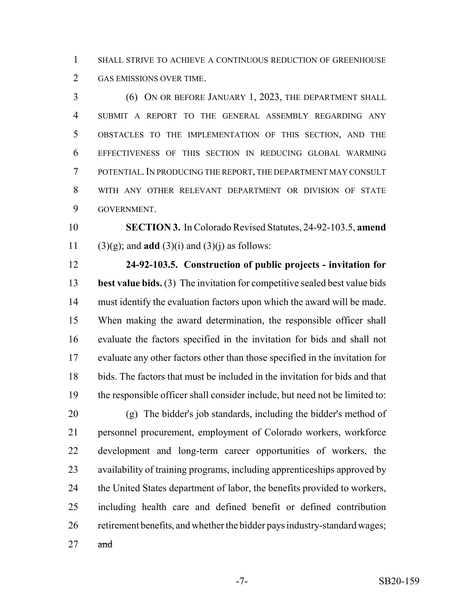SHALL STRIVE TO ACHIEVE A CONTINUOUS REDUCTION OF GREENHOUSE GAS EMISSIONS OVER TIME.

 (6) ON OR BEFORE JANUARY 1, 2023, THE DEPARTMENT SHALL SUBMIT A REPORT TO THE GENERAL ASSEMBLY REGARDING ANY OBSTACLES TO THE IMPLEMENTATION OF THIS SECTION, AND THE EFFECTIVENESS OF THIS SECTION IN REDUCING GLOBAL WARMING POTENTIAL.IN PRODUCING THE REPORT, THE DEPARTMENT MAY CONSULT WITH ANY OTHER RELEVANT DEPARTMENT OR DIVISION OF STATE GOVERNMENT.

 **SECTION 3.** In Colorado Revised Statutes, 24-92-103.5, **amend** 11 (3)(g); and **add** (3)(i) and (3)(j) as follows:

 **24-92-103.5. Construction of public projects - invitation for best value bids.** (3) The invitation for competitive sealed best value bids must identify the evaluation factors upon which the award will be made. When making the award determination, the responsible officer shall evaluate the factors specified in the invitation for bids and shall not evaluate any other factors other than those specified in the invitation for bids. The factors that must be included in the invitation for bids and that the responsible officer shall consider include, but need not be limited to:

 (g) The bidder's job standards, including the bidder's method of personnel procurement, employment of Colorado workers, workforce development and long-term career opportunities of workers, the availability of training programs, including apprenticeships approved by the United States department of labor, the benefits provided to workers, including health care and defined benefit or defined contribution retirement benefits, and whether the bidder pays industry-standard wages;

and